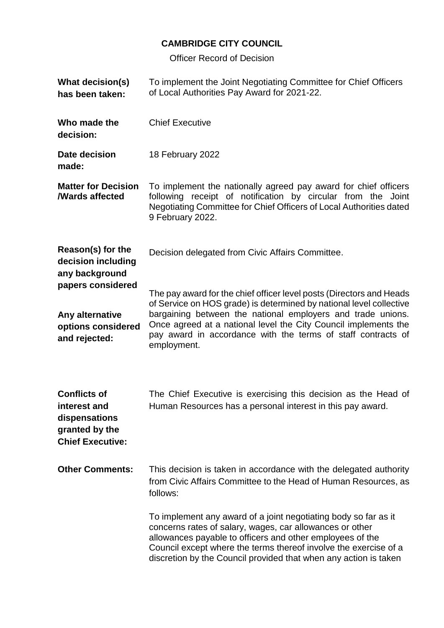## **CAMBRIDGE CITY COUNCIL**

Officer Record of Decision

| <b>What decision(s)</b><br>has been taken:                                                        | To implement the Joint Negotiating Committee for Chief Officers<br>of Local Authorities Pay Award for 2021-22.                                                                                                                                                                                                                   |
|---------------------------------------------------------------------------------------------------|----------------------------------------------------------------------------------------------------------------------------------------------------------------------------------------------------------------------------------------------------------------------------------------------------------------------------------|
| Who made the<br>decision:                                                                         | <b>Chief Executive</b>                                                                                                                                                                                                                                                                                                           |
| Date decision<br>made:                                                                            | 18 February 2022                                                                                                                                                                                                                                                                                                                 |
| <b>Matter for Decision</b><br><b>/Wards affected</b>                                              | To implement the nationally agreed pay award for chief officers<br>following receipt of notification by circular from the Joint<br>Negotiating Committee for Chief Officers of Local Authorities dated<br>9 February 2022.                                                                                                       |
| Reason(s) for the<br>decision including<br>any background                                         | Decision delegated from Civic Affairs Committee.                                                                                                                                                                                                                                                                                 |
| papers considered                                                                                 | The pay award for the chief officer level posts (Directors and Heads<br>of Service on HOS grade) is determined by national level collective                                                                                                                                                                                      |
| Any alternative<br>options considered<br>and rejected:                                            | bargaining between the national employers and trade unions.<br>Once agreed at a national level the City Council implements the<br>pay award in accordance with the terms of staff contracts of<br>employment.                                                                                                                    |
| <b>Conflicts of</b><br>interest and<br>dispensations<br>granted by the<br><b>Chief Executive:</b> | The Chief Executive is exercising this decision as the Head of<br>Human Resources has a personal interest in this pay award.                                                                                                                                                                                                     |
| <b>Other Comments:</b>                                                                            | This decision is taken in accordance with the delegated authority<br>from Civic Affairs Committee to the Head of Human Resources, as<br>follows:                                                                                                                                                                                 |
|                                                                                                   | To implement any award of a joint negotiating body so far as it<br>concerns rates of salary, wages, car allowances or other<br>allowances payable to officers and other employees of the<br>Council except where the terms thereof involve the exercise of a<br>discretion by the Council provided that when any action is taken |